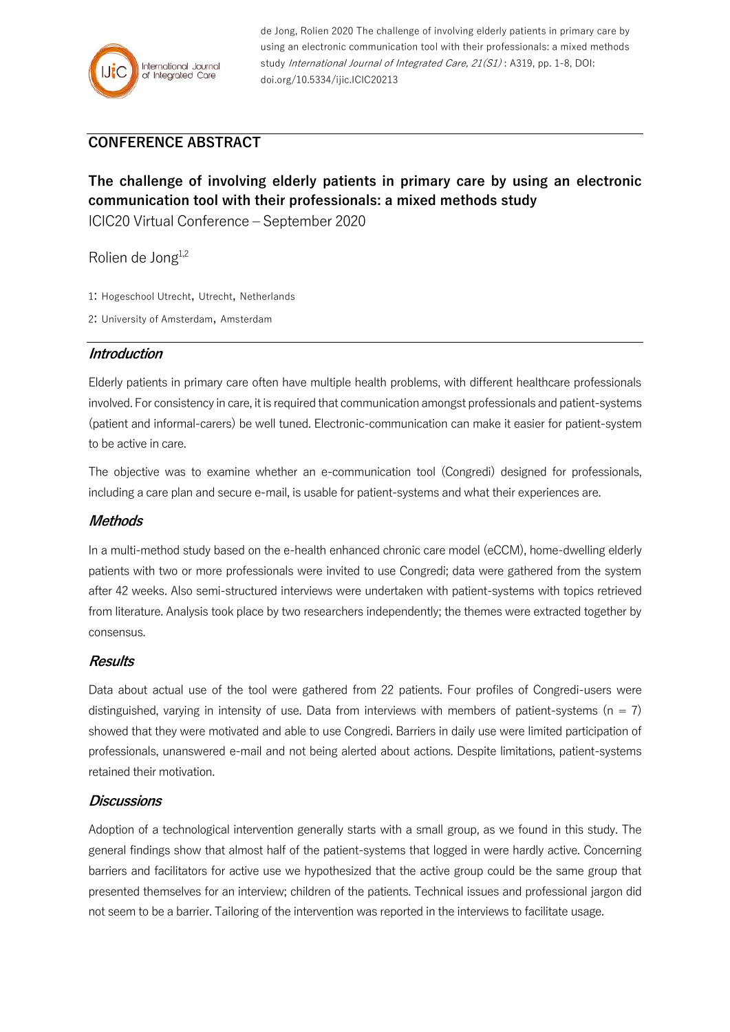

de Jong, Rolien 2020 The challenge of involving elderly patients in primary care by using an electronic communication tool with their professionals: a mixed methods study International Journal of Integrated Care, 21(S1): A319, pp. 1-8, DOI: doi.org/10.5334/ijic.ICIC20213

# **CONFERENCE ABSTRACT**

# **The challenge of involving elderly patients in primary care by using an electronic communication tool with their professionals: a mixed methods study**

ICIC20 Virtual Conference – September 2020

Rolien de Jong<sup>1,2</sup>

- 1: Hogeschool Utrecht, Utrecht, Netherlands
- 2: University of Amsterdam, Amsterdam

#### **Introduction**

Elderly patients in primary care often have multiple health problems, with different healthcare professionals involved. For consistency in care, it is required that communication amongst professionals and patient-systems (patient and informal-carers) be well tuned. Electronic-communication can make it easier for patient-system to be active in care.

The objective was to examine whether an e-communication tool (Congredi) designed for professionals, including a care plan and secure e-mail, is usable for patient-systems and what their experiences are.

#### **Methods**

In a multi-method study based on the e-health enhanced chronic care model (eCCM), home-dwelling elderly patients with two or more professionals were invited to use Congredi; data were gathered from the system after 42 weeks. Also semi-structured interviews were undertaken with patient-systems with topics retrieved from literature. Analysis took place by two researchers independently; the themes were extracted together by consensus.

#### **Results**

Data about actual use of the tool were gathered from 22 patients. Four profiles of Congredi-users were distinguished, varying in intensity of use. Data from interviews with members of patient-systems ( $n = 7$ ) showed that they were motivated and able to use Congredi. Barriers in daily use were limited participation of professionals, unanswered e-mail and not being alerted about actions. Despite limitations, patient-systems retained their motivation.

#### **Discussions**

Adoption of a technological intervention generally starts with a small group, as we found in this study. The general findings show that almost half of the patient-systems that logged in were hardly active. Concerning barriers and facilitators for active use we hypothesized that the active group could be the same group that presented themselves for an interview; children of the patients. Technical issues and professional jargon did not seem to be a barrier. Tailoring of the intervention was reported in the interviews to facilitate usage.